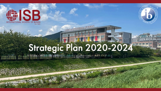

### **Strategic Plan 2020-2024** Selection of the second in the selection of the selection

**Birne**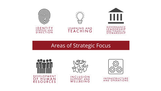

#### Areas of Strategic Focus









| <b>INFRASTRUCTURE</b> |
|-----------------------|
| AND OPERATIONS        |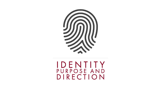

## IDENTITY<br>PURPOSE AND DIRECTION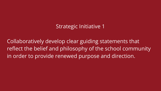Collaboratively develop clear guiding statements that reflect the belief and philosophy of the school community in order to provide renewed purpose and direction.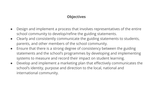- Design and implement a process that involves representatives of the entire school community to develop/refine the guiding statements.
- Clearly and consistently communicate the guiding statements to students, parents, and other members of the school community.
- Ensure that there is a strong degree of consistency between the guiding statements and the school's programmes by developing and implementing systems to measure and record their impact on student learning.
- Develop and implement a marketing plan that effectively communicates the school's identity, purpose and direction to the local, national and international community.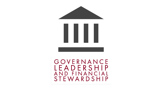



#### GOVERNANCE LEADERSHIP AND FINANCIAL STEWARDSHIP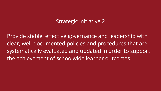Provide stable, effective governance and leadership with clear, well-documented policies and procedures that are systematically evaluated and updated in order to support the achievement of schoolwide learner outcomes.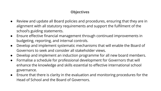- Review and update all Board policies and procedures, ensuring that they are in alignment with all statutory requirements and support the fulfilment of the school's guiding statements.
- Ensure effective financial management through continued improvements in budgeting, reporting, and internal controls.
- Develop and implement systematic mechanisms that will enable the Board of Governors to seek and consider all stakeholder views.
- Develop and implement an induction programme for all new board members.
- Formalise a schedule for professional development for Governors that will enhance the knowledge and skills essential to effective international school governance.
- Ensure that there is clarity in the evaluation and monitoring procedures for the Head of School and the Board of Governors.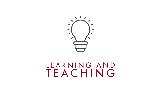

# IEARNING AND<br>TEACHING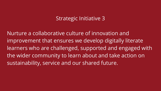Nurture a collaborative culture of innovation and improvement that ensures we develop digitally literate learners who are challenged, supported and engaged with the wider community to learn about and take action on sustainability, service and our shared future.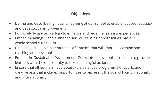- **●** Define and describe high quality learning at our school to enable focused feedback and pedagogical improvement.
- Purposefully use technology to enhance and redefine learning experiences.
- Embed meaningful and authentic service learning opportunities into our whole-school curriculum.
- Develop sustainable communities of practice that will improve learning and teaching at our school.
- Embed the Sustainable Development Goals into our school curriculum to provide learners with the opportunity to take meaningful action.
- Ensure that all learners have access to a balanced programme of sports and creative arts that includes opportunities to represent the school locally, nationally and internationally.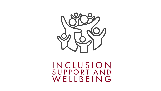

INCLUSION<br>SUPPORT AND WELLBEING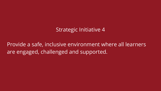Provide a safe, inclusive environment where all learners are engaged, challenged and supported.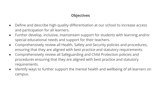- Define and describe high quality differentiation at our school to increase access and participation for all learners.
- Further develop, inclusive, mainstream support for students with learning and/or special educational needs and support for their teachers.
- Comprehensively review all Health, Safety and Security policies and procedures, ensuring that they are aligned with best practice and statutory requirements.
- Comprehensively review all Safeguarding and Child Protection policies and procedures ensuring that they are aligned with best practice and statutory requirements.
- Identify ways to further support the mental health and wellbeing of all learners on campus.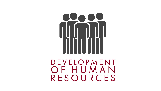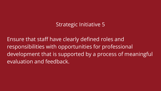Ensure that staff have clearly defined roles and responsibilities with opportunities for professional development that is supported by a process of meaningful evaluation and feedback.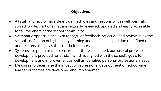- All staff and faculty have clearly defined roles and responsibilities with centrally stored job descriptions that are regularly reviewed, updated and easily accessible for all members of the school community.
- Systematic opportunities exist for regular feedback, reflection and review using the school's definition of high quality learning and teaching, in addition to defined roles and responsibilities, as the criteria for success.
- Systems are put in place to ensure that there is planned, purposeful professional development provided for all staff which is aligned with the school's goals for development and improvement as well as identified personal professional needs.
- Measures to determine the impact of professional development on schoolwide learner outcomes are developed and implemented.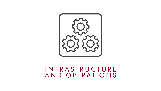

# INFRASTRUCTURE<br>AND OPERATIONS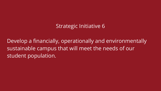Develop a financially, operationally and environmentally sustainable campus that will meet the needs of our student population.